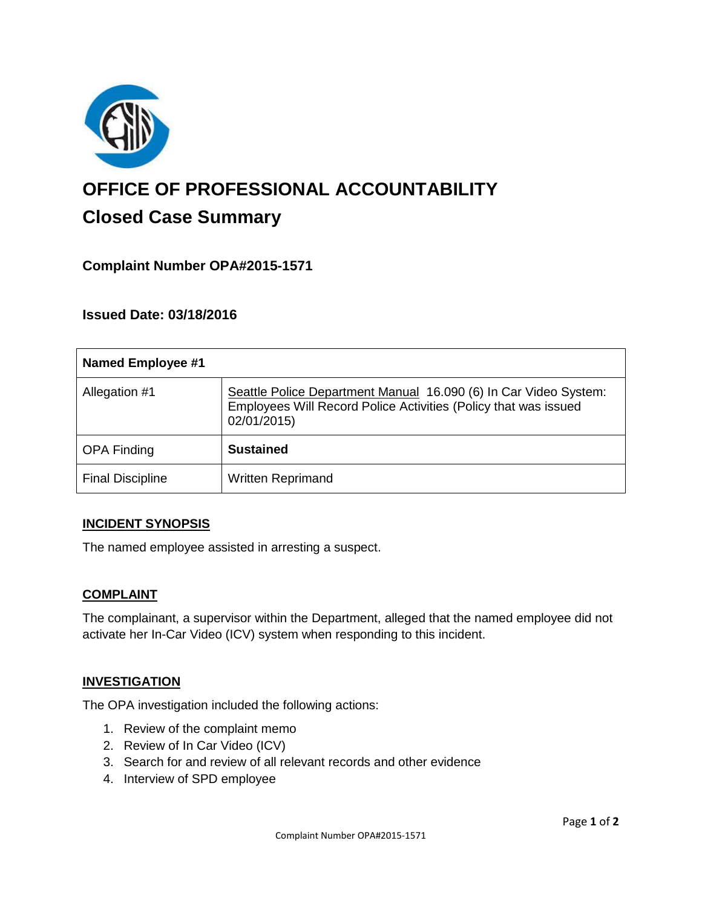

# **OFFICE OF PROFESSIONAL ACCOUNTABILITY Closed Case Summary**

## **Complaint Number OPA#2015-1571**

**Issued Date: 03/18/2016**

| <b>Named Employee #1</b> |                                                                                                                                                    |
|--------------------------|----------------------------------------------------------------------------------------------------------------------------------------------------|
| Allegation #1            | Seattle Police Department Manual 16.090 (6) In Car Video System:<br>Employees Will Record Police Activities (Policy that was issued<br>02/01/2015) |
| <b>OPA Finding</b>       | <b>Sustained</b>                                                                                                                                   |
| <b>Final Discipline</b>  | <b>Written Reprimand</b>                                                                                                                           |

#### **INCIDENT SYNOPSIS**

The named employee assisted in arresting a suspect.

#### **COMPLAINT**

The complainant, a supervisor within the Department, alleged that the named employee did not activate her In-Car Video (ICV) system when responding to this incident.

#### **INVESTIGATION**

The OPA investigation included the following actions:

- 1. Review of the complaint memo
- 2. Review of In Car Video (ICV)
- 3. Search for and review of all relevant records and other evidence
- 4. Interview of SPD employee